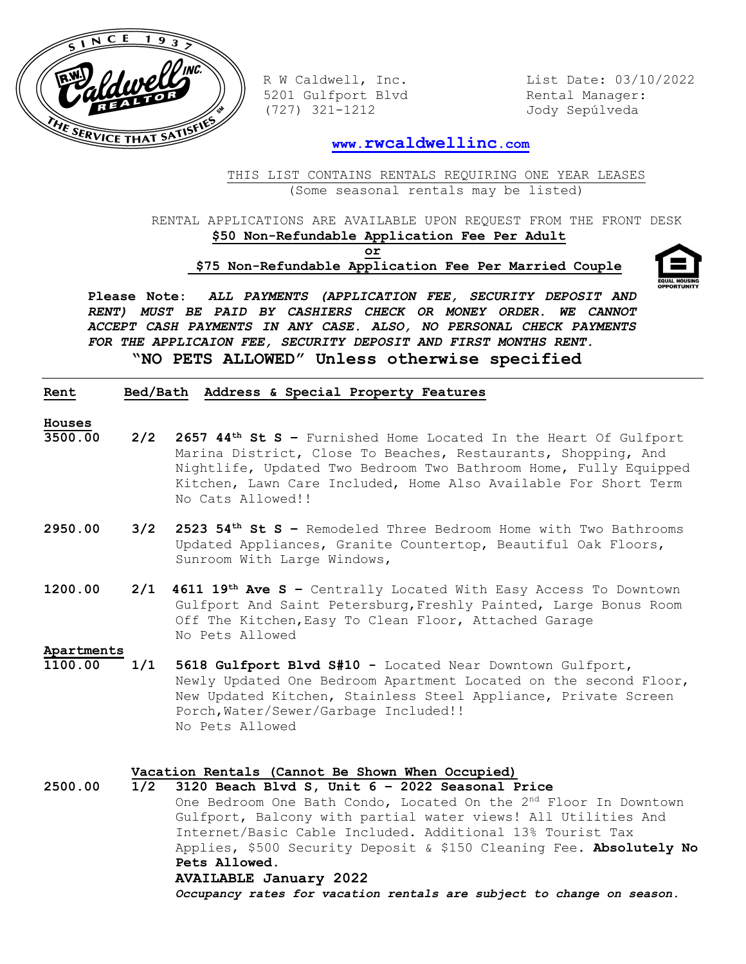

5201 Gulfport Blvd Rental Manager: (727) 321-1212 Jody Sepúlveda

R W Caldwell, Inc. List Date: 03/10/2022

## **www.[rwcaldwellinc](http://www.rwcaldwellinc.com/).com**

THIS LIST CONTAINS RENTALS REQUIRING ONE YEAR LEASES (Some seasonal rentals may be listed)

RENTAL APPLICATIONS ARE AVAILABLE UPON REQUEST FROM THE FRONT DESK  **\$50 Non-Refundable Application Fee Per Adult**

**or**

 **\$75 Non-Refundable Application Fee Per Married Couple**



**Please Note:** *ALL PAYMENTS (APPLICATION FEE, SECURITY DEPOSIT AND RENT) MUST BE PAID BY CASHIERS CHECK OR MONEY ORDER. WE CANNOT ACCEPT CASH PAYMENTS IN ANY CASE. ALSO, NO PERSONAL CHECK PAYMENTS FOR THE APPLICAION FEE, SECURITY DEPOSIT AND FIRST MONTHS RENT.* **"NO PETS ALLOWED" Unless otherwise specified**

## **Rent Bed/Bath Address & Special Property Features**

- **Houses**
- **3500.00 2/2 2657 44th St S –** Furnished Home Located In the Heart Of Gulfport Marina District, Close To Beaches, Restaurants, Shopping, And Nightlife, Updated Two Bedroom Two Bathroom Home, Fully Equipped Kitchen, Lawn Care Included, Home Also Available For Short Term No Cats Allowed!!
- **2950.00 3/2 2523 54th St S –** Remodeled Three Bedroom Home with Two Bathrooms Updated Appliances, Granite Countertop, Beautiful Oak Floors, Sunroom With Large Windows,
- **1200.00 2/1 4611 19th Ave S –** Centrally Located With Easy Access To Downtown Gulfport And Saint Petersburg,Freshly Painted, Large Bonus Room Off The Kitchen,Easy To Clean Floor, Attached Garage No Pets Allowed

**Apartments** 

**1100.00 1/1 5618 Gulfport Blvd S#10 -** Located Near Downtown Gulfport, Newly Updated One Bedroom Apartment Located on the second Floor, New Updated Kitchen, Stainless Steel Appliance, Private Screen Porch,Water/Sewer/Garbage Included!! No Pets Allowed

## **Vacation Rentals (Cannot Be Shown When Occupied)**

**2500.00 1/2 3120 Beach Blvd S, Unit 6 – 2022 Seasonal Price**  One Bedroom One Bath Condo, Located On the 2<sup>nd</sup> Floor In Downtown Gulfport, Balcony with partial water views! All Utilities And Internet/Basic Cable Included. Additional 13% Tourist Tax Applies, \$500 Security Deposit & \$150 Cleaning Fee. **Absolutely No Pets Allowed. AVAILABLE January 2022**  *Occupancy rates for vacation rentals are subject to change on season.*